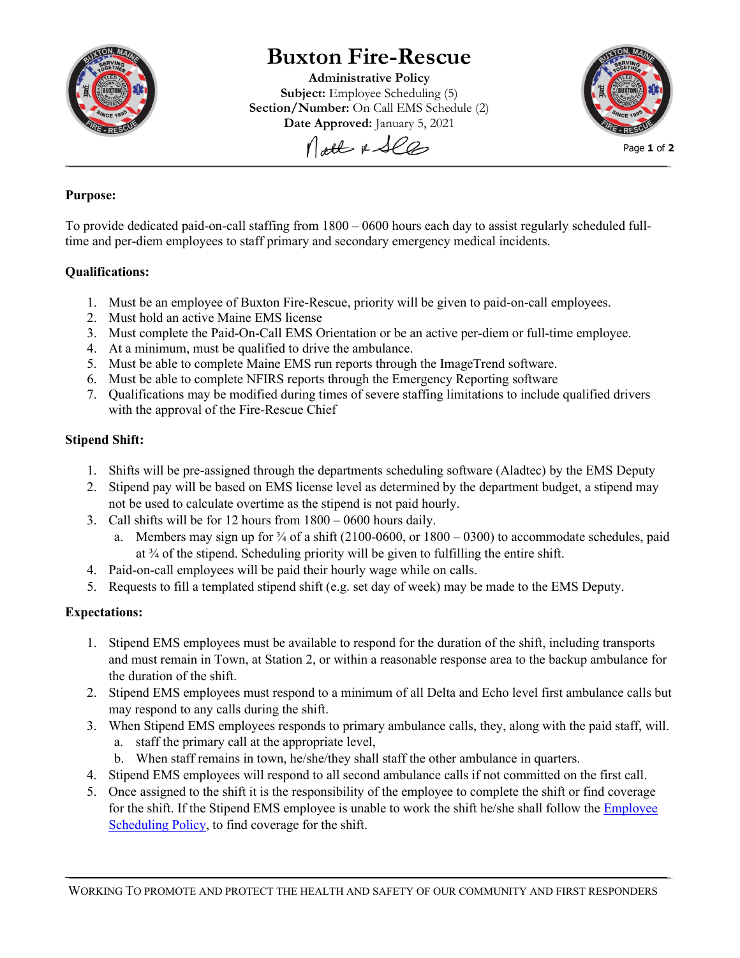

# **Buxton Fire-Rescue**

**Administrative Policy Subject:** Employee Scheduling (5) **Section/Number:** On Call EMS Schedule (2)



**Date Approved:** January 5, 2021

#### Page **1** of **2**

### **Purpose:**

To provide dedicated paid-on-call staffing from 1800 – 0600 hours each day to assist regularly scheduled fulltime and per-diem employees to staff primary and secondary emergency medical incidents.

## **Qualifications:**

- 1. Must be an employee of Buxton Fire-Rescue, priority will be given to paid-on-call employees.
- 2. Must hold an active Maine EMS license
- 3. Must complete the Paid-On-Call EMS Orientation or be an active per-diem or full-time employee.
- 4. At a minimum, must be qualified to drive the ambulance.
- 5. Must be able to complete Maine EMS run reports through the ImageTrend software.
- 6. Must be able to complete NFIRS reports through the Emergency Reporting software
- 7. Qualifications may be modified during times of severe staffing limitations to include qualified drivers with the approval of the Fire-Rescue Chief

#### **Stipend Shift:**

- 1. Shifts will be pre-assigned through the departments scheduling software (Aladtec) by the EMS Deputy
- 2. Stipend pay will be based on EMS license level as determined by the department budget, a stipend may not be used to calculate overtime as the stipend is not paid hourly.
- 3. Call shifts will be for 12 hours from 1800 0600 hours daily.
	- a. Members may sign up for  $\frac{3}{4}$  of a shift (2100-0600, or 1800 0300) to accommodate schedules, paid at  $\frac{3}{4}$  of the stipend. Scheduling priority will be given to fulfilling the entire shift.
- 4. Paid-on-call employees will be paid their hourly wage while on calls.
- 5. Requests to fill a templated stipend shift (e.g. set day of week) may be made to the EMS Deputy.

## **Expectations:**

- 1. Stipend EMS employees must be available to respond for the duration of the shift, including transports and must remain in Town, at Station 2, or within a reasonable response area to the backup ambulance for the duration of the shift.
- 2. Stipend EMS employees must respond to a minimum of all Delta and Echo level first ambulance calls but may respond to any calls during the shift.
- 3. When Stipend EMS employees responds to primary ambulance calls, they, along with the paid staff, will. a. staff the primary call at the appropriate level,
	- b. When staff remains in town, he/she/they shall staff the other ambulance in quarters.
- 4. Stipend EMS employees will respond to all second ambulance calls if not committed on the first call.
- 5. Once assigned to the shift it is the responsibility of the employee to complete the shift or find coverage for the shift. If the Stipend EMS employee is unable to work the shift he/she shall follow the Employee [Scheduling Policy,](http://buxtonfr.org/wp-content/uploads/2018/11/A.P.3.3-Employee-Scheduling-11-2018.pdf) to find coverage for the shift.